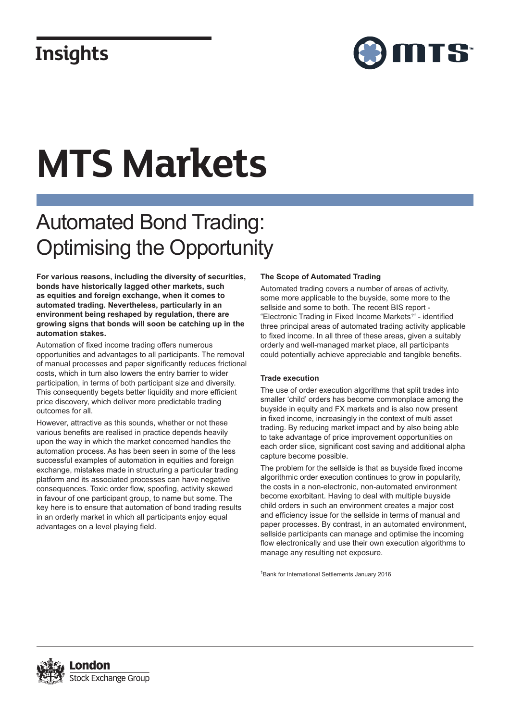### **Insights**



# **MTS Markets**

## Automated Bond Trading: Optimising the Opportunity

**For various reasons, including the diversity of securities, bonds have historically lagged other markets, such as equities and foreign exchange, when it comes to automated trading. Nevertheless, particularly in an environment being reshaped by regulation, there are growing signs that bonds will soon be catching up in the automation stakes.**

Automation of fixed income trading offers numerous opportunities and advantages to all participants. The removal of manual processes and paper significantly reduces frictional costs, which in turn also lowers the entry barrier to wider participation, in terms of both participant size and diversity. This consequently begets better liquidity and more efficient price discovery, which deliver more predictable trading outcomes for all.

However, attractive as this sounds, whether or not these various benefits are realised in practice depends heavily upon the way in which the market concerned handles the automation process. As has been seen in some of the less successful examples of automation in equities and foreign exchange, mistakes made in structuring a particular trading platform and its associated processes can have negative consequences. Toxic order flow, spoofing, activity skewed in favour of one participant group, to name but some. The key here is to ensure that automation of bond trading results in an orderly market in which all participants enjoy equal advantages on a level playing field.

### **The Scope of Automated Trading**

Automated trading covers a number of areas of activity, some more applicable to the buyside, some more to the sellside and some to both. The recent BIS report - "Electronic Trading in Fixed Income Markets<sup>1</sup>" - identified three principal areas of automated trading activity applicable to fixed income. In all three of these areas, given a suitably orderly and well-managed market place, all participants could potentially achieve appreciable and tangible benefits.

### **Trade execution**

The use of order execution algorithms that split trades into smaller 'child' orders has become commonplace among the buyside in equity and FX markets and is also now present in fixed income, increasingly in the context of multi asset trading. By reducing market impact and by also being able to take advantage of price improvement opportunities on each order slice, significant cost saving and additional alpha capture become possible.

The problem for the sellside is that as buyside fixed income algorithmic order execution continues to grow in popularity, the costs in a non-electronic, non-automated environment become exorbitant. Having to deal with multiple buyside child orders in such an environment creates a major cost and efficiency issue for the sellside in terms of manual and paper processes. By contrast, in an automated environment, sellside participants can manage and optimise the incoming flow electronically and use their own execution algorithms to manage any resulting net exposure.

1 Bank for International Settlements January 2016

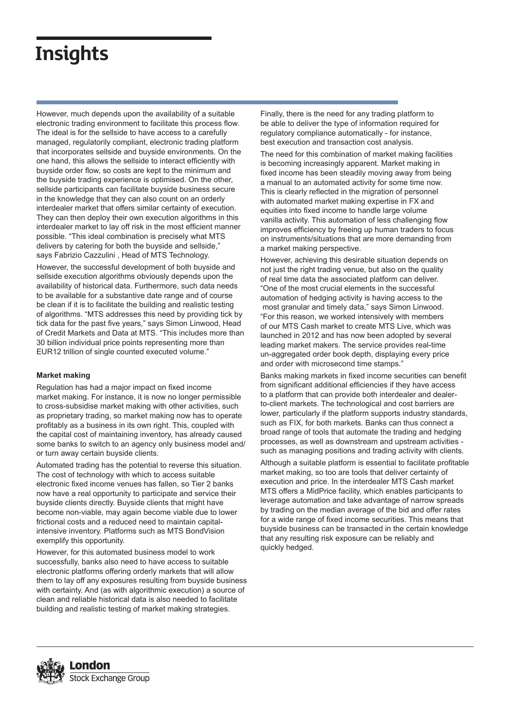### **Insights**

However, much depends upon the availability of a suitable electronic trading environment to facilitate this process flow. The ideal is for the sellside to have access to a carefully managed, regulatorily compliant, electronic trading platform that incorporates sellside and buyside environments. On the one hand, this allows the sellside to interact efficiently with buyside order flow, so costs are kept to the minimum and the buyside trading experience is optimised. On the other, sellside participants can facilitate buyside business secure in the knowledge that they can also count on an orderly interdealer market that offers similar certainty of execution. They can then deploy their own execution algorithms in this interdealer market to lay off risk in the most efficient manner possible. "This ideal combination is precisely what MTS delivers by catering for both the buyside and sellside," says Fabrizio Cazzulini , Head of MTS Technology.

However, the successful development of both buyside and sellside execution algorithms obviously depends upon the availability of historical data. Furthermore, such data needs to be available for a substantive date range and of course be clean if it is to facilitate the building and realistic testing of algorithms. "MTS addresses this need by providing tick by tick data for the past five years," says Simon Linwood, Head of Credit Markets and Data at MTS. "This includes more than 30 billion individual price points representing more than EUR12 trillion of single counted executed volume."

### **Market making**

Regulation has had a major impact on fixed income market making. For instance, it is now no longer permissible to cross-subsidise market making with other activities, such as proprietary trading, so market making now has to operate profitably as a business in its own right. This, coupled with the capital cost of maintaining inventory, has already caused some banks to switch to an agency only business model and/ or turn away certain buyside clients.

Automated trading has the potential to reverse this situation. The cost of technology with which to access suitable electronic fixed income venues has fallen, so Tier 2 banks now have a real opportunity to participate and service their buyside clients directly. Buyside clients that might have become non-viable, may again become viable due to lower frictional costs and a reduced need to maintain capitalintensive inventory. Platforms such as MTS BondVision exemplify this opportunity.

However, for this automated business model to work successfully, banks also need to have access to suitable electronic platforms offering orderly markets that will allow them to lay off any exposures resulting from buyside business with certainty. And (as with algorithmic execution) a source of clean and reliable historical data is also needed to facilitate building and realistic testing of market making strategies.

Finally, there is the need for any trading platform to be able to deliver the type of information required for regulatory compliance automatically - for instance, best execution and transaction cost analysis.

The need for this combination of market making facilities is becoming increasingly apparent. Market making in fixed income has been steadily moving away from being a manual to an automated activity for some time now. This is clearly reflected in the migration of personnel with automated market making expertise in FX and equities into fixed income to handle large volume vanilla activity. This automation of less challenging flow improves efficiency by freeing up human traders to focus on instruments/situations that are more demanding from a market making perspective.

However, achieving this desirable situation depends on not just the right trading venue, but also on the quality of real time data the associated platform can deliver. "One of the most crucial elements in the successful automation of hedging activity is having access to the most granular and timely data," says Simon Linwood. "For this reason, we worked intensively with members of our MTS Cash market to create MTS Live, which was launched in 2012 and has now been adopted by several leading market makers. The service provides real-time un-aggregated order book depth, displaying every price and order with microsecond time stamps."

Banks making markets in fixed income securities can benefit from significant additional efficiencies if they have access to a platform that can provide both interdealer and dealerto-client markets. The technological and cost barriers are lower, particularly if the platform supports industry standards, such as FIX, for both markets. Banks can thus connect a broad range of tools that automate the trading and hedging processes, as well as downstream and upstream activities such as managing positions and trading activity with clients.

Although a suitable platform is essential to facilitate profitable market making, so too are tools that deliver certainty of execution and price. In the interdealer MTS Cash market MTS offers a MidPrice facility, which enables participants to leverage automation and take advantage of narrow spreads by trading on the median average of the bid and offer rates for a wide range of fixed income securities. This means that buyside business can be transacted in the certain knowledge that any resulting risk exposure can be reliably and quickly hedged.

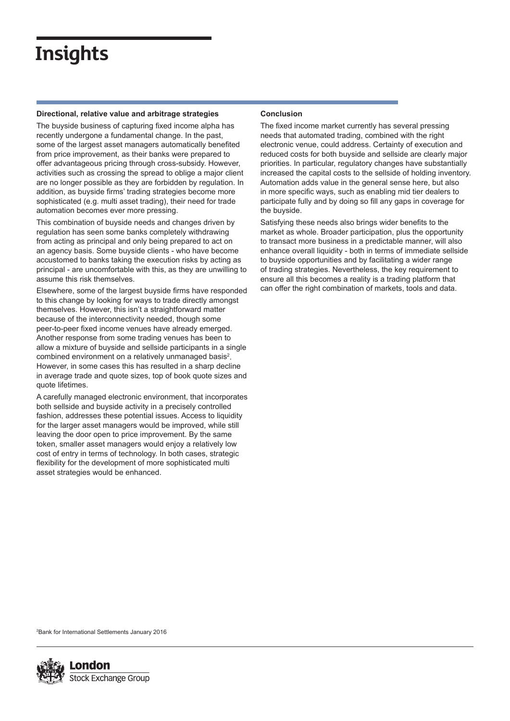### **Insights**

### **Directional, relative value and arbitrage strategies**

The buyside business of capturing fixed income alpha has recently undergone a fundamental change. In the past, some of the largest asset managers automatically benefited from price improvement, as their banks were prepared to offer advantageous pricing through cross-subsidy. However, activities such as crossing the spread to oblige a major client are no longer possible as they are forbidden by regulation. In addition, as buyside firms' trading strategies become more sophisticated (e.g. multi asset trading), their need for trade automation becomes ever more pressing.

This combination of buyside needs and changes driven by regulation has seen some banks completely withdrawing from acting as principal and only being prepared to act on an agency basis. Some buyside clients - who have become accustomed to banks taking the execution risks by acting as principal - are uncomfortable with this, as they are unwilling to assume this risk themselves.

Elsewhere, some of the largest buyside firms have responded to this change by looking for ways to trade directly amongst themselves. However, this isn't a straightforward matter because of the interconnectivity needed, though some peer-to-peer fixed income venues have already emerged. Another response from some trading venues has been to allow a mixture of buyside and sellside participants in a single combined environment on a relatively unmanaged basis<sup>2</sup>. However, in some cases this has resulted in a sharp decline in average trade and quote sizes, top of book quote sizes and quote lifetimes.

A carefully managed electronic environment, that incorporates both sellside and buyside activity in a precisely controlled fashion, addresses these potential issues. Access to liquidity for the larger asset managers would be improved, while still leaving the door open to price improvement. By the same token, smaller asset managers would enjoy a relatively low cost of entry in terms of technology. In both cases, strategic flexibility for the development of more sophisticated multi asset strategies would be enhanced.

### **Conclusion**

The fixed income market currently has several pressing needs that automated trading, combined with the right electronic venue, could address. Certainty of execution and reduced costs for both buyside and sellside are clearly major priorities. In particular, regulatory changes have substantially increased the capital costs to the sellside of holding inventory. Automation adds value in the general sense here, but also in more specific ways, such as enabling mid tier dealers to participate fully and by doing so fill any gaps in coverage for the buyside.

Satisfying these needs also brings wider benefits to the market as whole. Broader participation, plus the opportunity to transact more business in a predictable manner, will also enhance overall liquidity - both in terms of immediate sellside to buyside opportunities and by facilitating a wider range of trading strategies. Nevertheless, the key requirement to ensure all this becomes a reality is a trading platform that can offer the right combination of markets, tools and data.

2 Bank for International Settlements January 2016

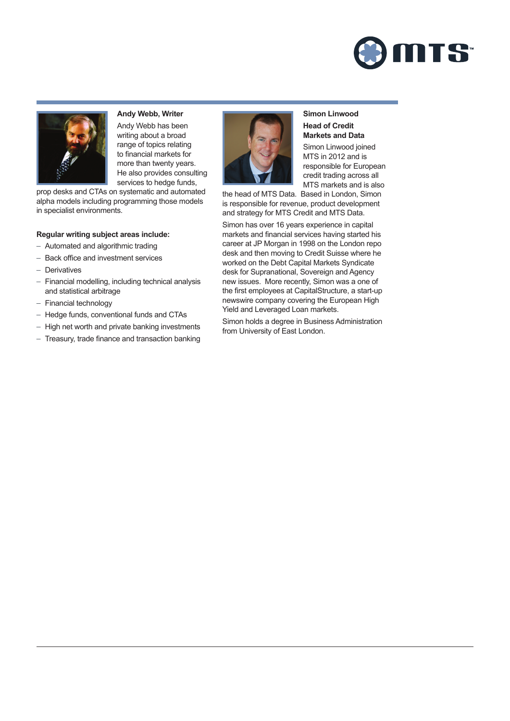



**Andy Webb, Writer** Andy Webb has been writing about a broad range of topics relating to financial markets for more than twenty years. He also provides consulting services to hedge funds,

prop desks and CTAs on systematic and automated alpha models including programming those models in specialist environments.

#### **Regular writing subject areas include:**

- Automated and algorithmic trading
- Back office and investment services
- Derivatives
- Financial modelling, including technical analysis and statistical arbitrage
- Financial technology
- Hedge funds, conventional funds and CTAs
- High net worth and private banking investments
- Treasury, trade finance and transaction banking



**Simon Linwood Head of Credit Markets and Data** Simon Linwood joined MTS in 2012 and is responsible for European credit trading across all MTS markets and is also

the head of MTS Data. Based in London, Simon is responsible for revenue, product development and strategy for MTS Credit and MTS Data.

Simon has over 16 years experience in capital markets and financial services having started his career at JP Morgan in 1998 on the London repo desk and then moving to Credit Suisse where he worked on the Debt Capital Markets Syndicate desk for Supranational, Sovereign and Agency new issues. More recently, Simon was a one of the first employees at CapitalStructure, a start-up newswire company covering the European High Yield and Leveraged Loan markets.

Simon holds a degree in Business Administration from University of East London.